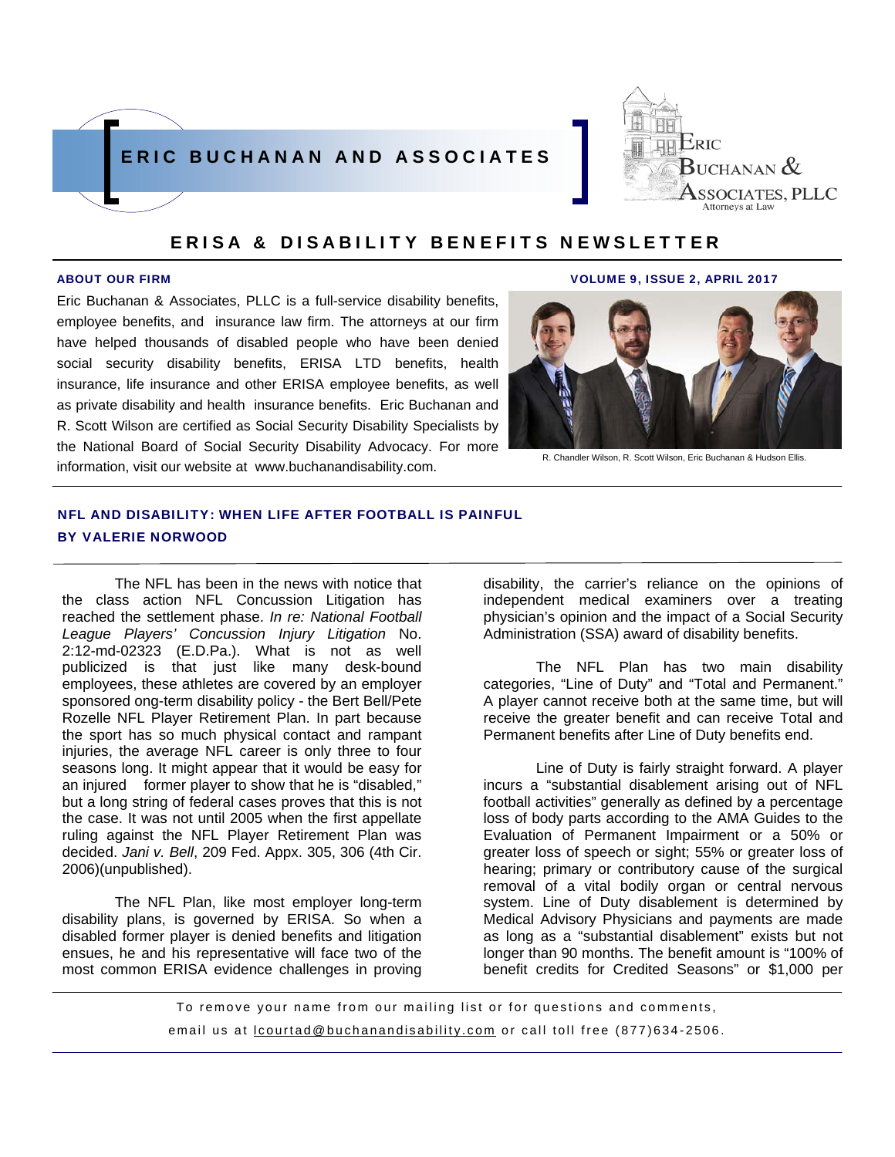



Eric Buchanan & Associates, PLLC is a full-service disability benefits, employee benefits, and insurance law firm. The attorneys at our firm have helped thousands of disabled people who have been denied social security disability benefits, ERISA LTD benefits, health insurance, life insurance and other ERISA employee benefits, as well as private disability and health insurance benefits. Eric Buchanan and R. Scott Wilson are certified as Social Security Disability Specialists by the National Board of Social Security Disability Advocacy. For more information, visit our website at www.buchanandisability.com.

#### ABOUT OUR FIRM VOLUME 9, ISSUE 2, APRIL 2017



R. Chandler Wilson, R. Scott Wilson, Eric Buchanan & Hudson Ellis.

## NFL AND DISABILITY: WHEN LIFE AFTER FOOTBALL IS PAINFUL BY VALERIE NORWOOD

The NFL has been in the news with notice that the class action NFL Concussion Litigation has reached the settlement phase. *In re: National Football League Players' Concussion Injury Litigation* No. 2:12-md-02323 (E.D.Pa.). What is not as well publicized is that just like many desk-bound employees, these athletes are covered by an employer sponsored ong-term disability policy - the Bert Bell/Pete Rozelle NFL Player Retirement Plan. In part because the sport has so much physical contact and rampant injuries, the average NFL career is only three to four seasons long. It might appear that it would be easy for an injured former player to show that he is "disabled," but a long string of federal cases proves that this is not the case. It was not until 2005 when the first appellate ruling against the NFL Player Retirement Plan was decided. *Jani v. Bell*, 209 Fed. Appx. 305, 306 (4th Cir. 2006)(unpublished).

The NFL Plan, like most employer long-term disability plans, is governed by ERISA. So when a disabled former player is denied benefits and litigation ensues, he and his representative will face two of the most common ERISA evidence challenges in proving disability, the carrier's reliance on the opinions of independent medical examiners over a treating physician's opinion and the impact of a Social Security Administration (SSA) award of disability benefits.

The NFL Plan has two main disability categories, "Line of Duty" and "Total and Permanent." A player cannot receive both at the same time, but will receive the greater benefit and can receive Total and Permanent benefits after Line of Duty benefits end.

Line of Duty is fairly straight forward. A player incurs a "substantial disablement arising out of NFL football activities" generally as defined by a percentage loss of body parts according to the AMA Guides to the Evaluation of Permanent Impairment or a 50% or greater loss of speech or sight; 55% or greater loss of hearing; primary or contributory cause of the surgical removal of a vital bodily organ or central nervous system. Line of Duty disablement is determined by Medical Advisory Physicians and payments are made as long as a "substantial disablement" exists but not longer than 90 months. The benefit amount is "100% of benefit credits for Credited Seasons" or \$1,000 per

To remove your name from our mailing list or for questions and comments, email us at lcourtad@buchanandisability.com or call toll free (877)634-2506.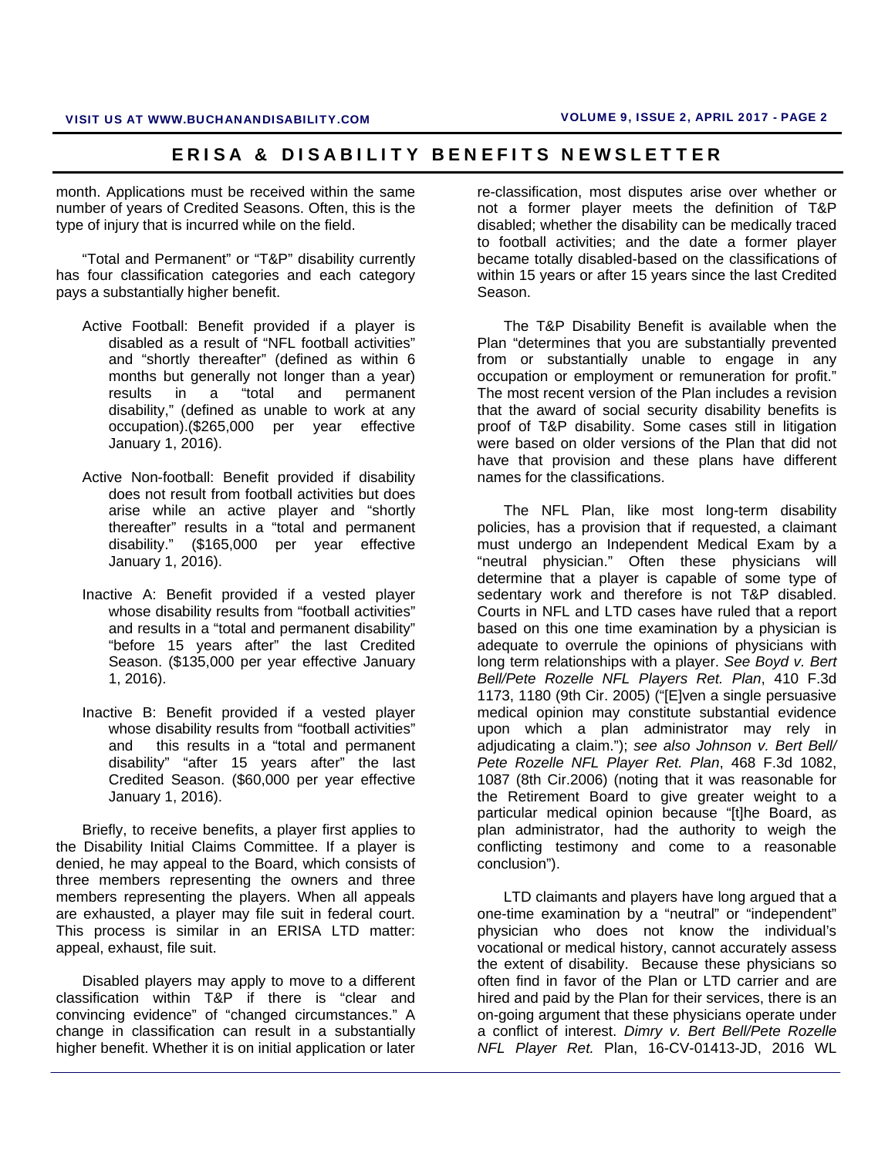month. Applications must be received within the same number of years of Credited Seasons. Often, this is the type of injury that is incurred while on the field.

"Total and Permanent" or "T&P" disability currently has four classification categories and each category pays a substantially higher benefit.

- Active Football: Benefit provided if a player is disabled as a result of "NFL football activities" and "shortly thereafter" (defined as within 6 months but generally not longer than a year) results in a "total and permanent disability," (defined as unable to work at any occupation).(\$265,000 per year effective January 1, 2016).
- Active Non-football: Benefit provided if disability does not result from football activities but does arise while an active player and "shortly thereafter" results in a "total and permanent disability." (\$165,000 per year effective January 1, 2016).
- Inactive A: Benefit provided if a vested player whose disability results from "football activities" and results in a "total and permanent disability" "before 15 years after" the last Credited Season. (\$135,000 per year effective January 1, 2016).
- Inactive B: Benefit provided if a vested player whose disability results from "football activities" and this results in a "total and permanent disability" "after 15 years after" the last Credited Season. (\$60,000 per year effective January 1, 2016).

Briefly, to receive benefits, a player first applies to the Disability Initial Claims Committee. If a player is denied, he may appeal to the Board, which consists of three members representing the owners and three members representing the players. When all appeals are exhausted, a player may file suit in federal court. This process is similar in an ERISA LTD matter: appeal, exhaust, file suit.

Disabled players may apply to move to a different classification within T&P if there is "clear and convincing evidence" of "changed circumstances." A change in classification can result in a substantially higher benefit. Whether it is on initial application or later

re-classification, most disputes arise over whether or not a former player meets the definition of T&P disabled; whether the disability can be medically traced to football activities; and the date a former player became totally disabled-based on the classifications of within 15 years or after 15 years since the last Credited Season.

The T&P Disability Benefit is available when the Plan "determines that you are substantially prevented from or substantially unable to engage in any occupation or employment or remuneration for profit." The most recent version of the Plan includes a revision that the award of social security disability benefits is proof of T&P disability. Some cases still in litigation were based on older versions of the Plan that did not have that provision and these plans have different names for the classifications.

The NFL Plan, like most long-term disability policies, has a provision that if requested, a claimant must undergo an Independent Medical Exam by a "neutral physician." Often these physicians will determine that a player is capable of some type of sedentary work and therefore is not T&P disabled. Courts in NFL and LTD cases have ruled that a report based on this one time examination by a physician is adequate to overrule the opinions of physicians with long term relationships with a player. *See Boyd v. Bert Bell/Pete Rozelle NFL Players Ret. Plan*, 410 F.3d 1173, 1180 (9th Cir. 2005) ("[E]ven a single persuasive medical opinion may constitute substantial evidence upon which a plan administrator may rely in adjudicating a claim."); *see also Johnson v. Bert Bell/ Pete Rozelle NFL Player Ret. Plan*, 468 F.3d 1082, 1087 (8th Cir.2006) (noting that it was reasonable for the Retirement Board to give greater weight to a particular medical opinion because "[t]he Board, as plan administrator, had the authority to weigh the conflicting testimony and come to a reasonable conclusion").

LTD claimants and players have long argued that a one-time examination by a "neutral" or "independent" physician who does not know the individual's vocational or medical history, cannot accurately assess the extent of disability. Because these physicians so often find in favor of the Plan or LTD carrier and are hired and paid by the Plan for their services, there is an on-going argument that these physicians operate under a conflict of interest. *Dimry v. Bert Bell/Pete Rozelle NFL Player Ret.* Plan, 16-CV-01413-JD, 2016 WL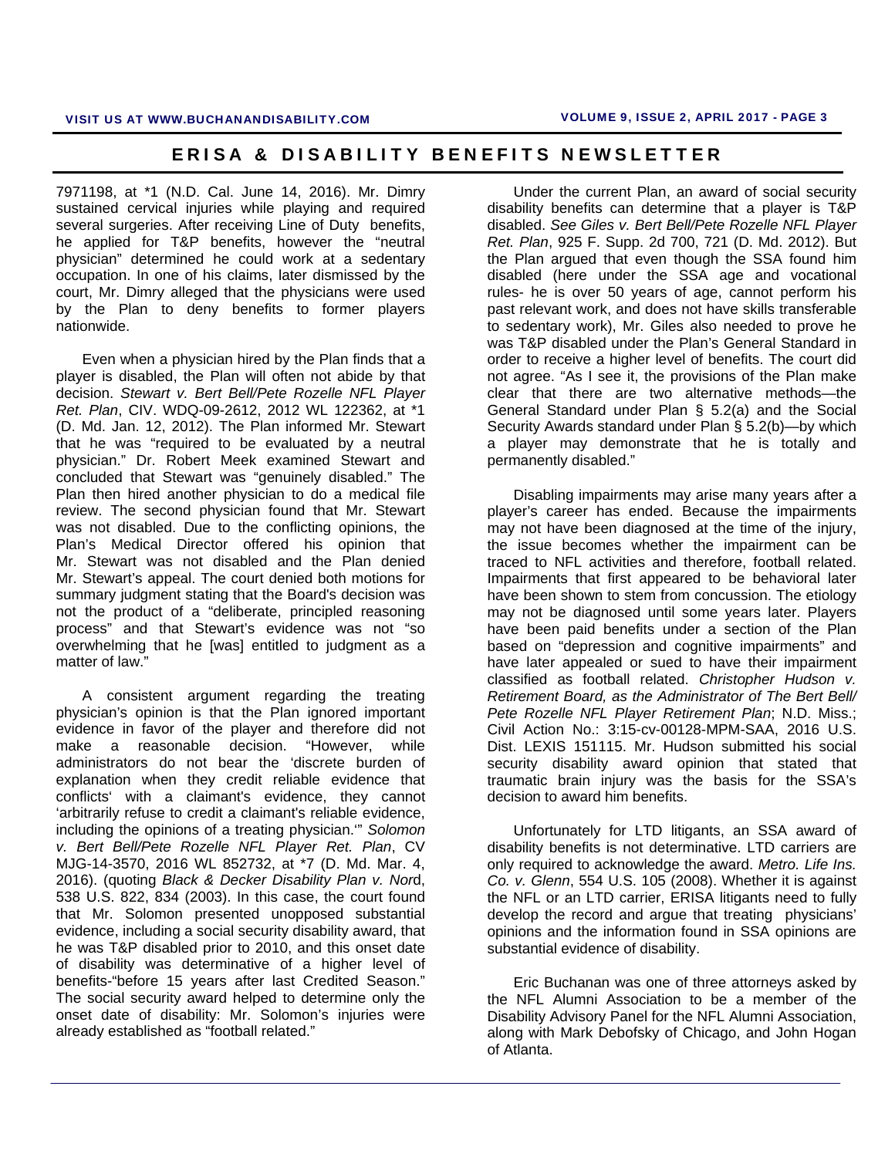7971198, at \*1 (N.D. Cal. June 14, 2016). Mr. Dimry sustained cervical injuries while playing and required several surgeries. After receiving Line of Duty benefits, he applied for T&P benefits, however the "neutral physician" determined he could work at a sedentary occupation. In one of his claims, later dismissed by the court, Mr. Dimry alleged that the physicians were used by the Plan to deny benefits to former players nationwide.

Even when a physician hired by the Plan finds that a player is disabled, the Plan will often not abide by that decision. *Stewart v. Bert Bell/Pete Rozelle NFL Player Ret. Plan*, CIV. WDQ-09-2612, 2012 WL 122362, at \*1 (D. Md. Jan. 12, 2012). The Plan informed Mr. Stewart that he was "required to be evaluated by a neutral physician." Dr. Robert Meek examined Stewart and concluded that Stewart was "genuinely disabled." The Plan then hired another physician to do a medical file review. The second physician found that Mr. Stewart was not disabled. Due to the conflicting opinions, the Plan's Medical Director offered his opinion that Mr. Stewart was not disabled and the Plan denied Mr. Stewart's appeal. The court denied both motions for summary judgment stating that the Board's decision was not the product of a "deliberate, principled reasoning process" and that Stewart's evidence was not "so overwhelming that he [was] entitled to judgment as a matter of law."

A consistent argument regarding the treating physician's opinion is that the Plan ignored important evidence in favor of the player and therefore did not make a reasonable decision. "However, while administrators do not bear the 'discrete burden of explanation when they credit reliable evidence that conflicts' with a claimant's evidence, they cannot 'arbitrarily refuse to credit a claimant's reliable evidence, including the opinions of a treating physician.'" *Solomon v. Bert Bell/Pete Rozelle NFL Player Ret. Plan*, CV MJG-14-3570, 2016 WL 852732, at \*7 (D. Md. Mar. 4, 2016). (quoting *Black & Decker Disability Plan v. Nor*d, 538 U.S. 822, 834 (2003). In this case, the court found that Mr. Solomon presented unopposed substantial evidence, including a social security disability award, that he was T&P disabled prior to 2010, and this onset date of disability was determinative of a higher level of benefits-"before 15 years after last Credited Season." The social security award helped to determine only the onset date of disability: Mr. Solomon's injuries were already established as "football related."

Under the current Plan, an award of social security disability benefits can determine that a player is T&P disabled. *See Giles v. Bert Bell/Pete Rozelle NFL Player Ret. Plan*, 925 F. Supp. 2d 700, 721 (D. Md. 2012). But the Plan argued that even though the SSA found him disabled (here under the SSA age and vocational rules- he is over 50 years of age, cannot perform his past relevant work, and does not have skills transferable to sedentary work), Mr. Giles also needed to prove he was T&P disabled under the Plan's General Standard in order to receive a higher level of benefits. The court did not agree. "As I see it, the provisions of the Plan make clear that there are two alternative methods—the General Standard under Plan § 5.2(a) and the Social Security Awards standard under Plan § 5.2(b)—by which a player may demonstrate that he is totally and permanently disabled."

Disabling impairments may arise many years after a player's career has ended. Because the impairments may not have been diagnosed at the time of the injury, the issue becomes whether the impairment can be traced to NFL activities and therefore, football related. Impairments that first appeared to be behavioral later have been shown to stem from concussion. The etiology may not be diagnosed until some years later. Players have been paid benefits under a section of the Plan based on "depression and cognitive impairments" and have later appealed or sued to have their impairment classified as football related. *Christopher Hudson v. Retirement Board, as the Administrator of The Bert Bell/ Pete Rozelle NFL Player Retirement Plan*; N.D. Miss.; Civil Action No.: 3:15-cv-00128-MPM-SAA, 2016 U.S. Dist. LEXIS 151115. Mr. Hudson submitted his social security disability award opinion that stated that traumatic brain injury was the basis for the SSA's decision to award him benefits.

Unfortunately for LTD litigants, an SSA award of disability benefits is not determinative. LTD carriers are only required to acknowledge the award. *Metro. Life Ins. Co. v. Glenn*, 554 U.S. 105 (2008). Whether it is against the NFL or an LTD carrier, ERISA litigants need to fully develop the record and argue that treating physicians' opinions and the information found in SSA opinions are substantial evidence of disability.

Eric Buchanan was one of three attorneys asked by the NFL Alumni Association to be a member of the Disability Advisory Panel for the NFL Alumni Association, along with Mark Debofsky of Chicago, and John Hogan of Atlanta.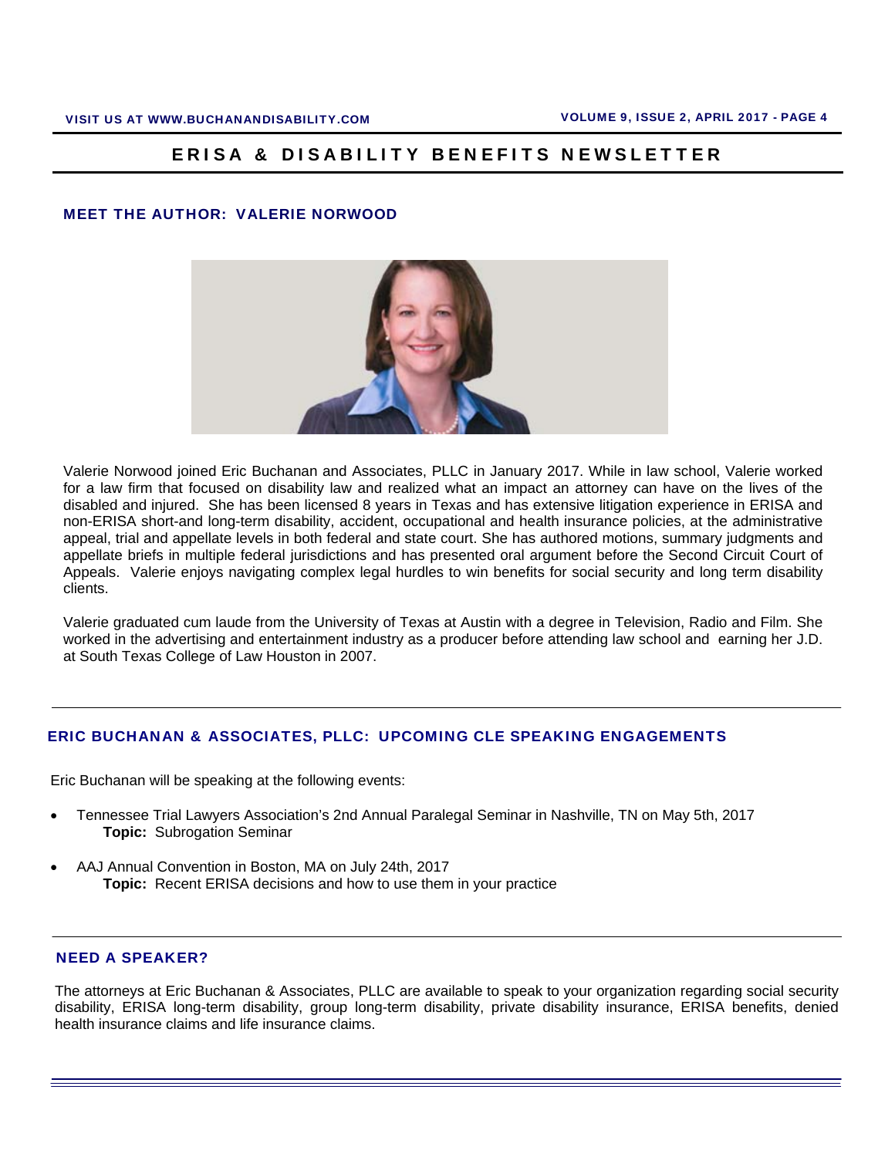#### MEET THE AUTHOR: VALERIE NORWOOD



Valerie Norwood joined Eric Buchanan and Associates, PLLC in January 2017. While in law school, Valerie worked for a law firm that focused on disability law and realized what an impact an attorney can have on the lives of the disabled and injured. She has been licensed 8 years in Texas and has extensive litigation experience in ERISA and non-ERISA short-and long-term disability, accident, occupational and health insurance policies, at the administrative appeal, trial and appellate levels in both federal and state court. She has authored motions, summary judgments and appellate briefs in multiple federal jurisdictions and has presented oral argument before the Second Circuit Court of Appeals. Valerie enjoys navigating complex legal hurdles to win benefits for social security and long term disability clients.

Valerie graduated cum laude from the University of Texas at Austin with a degree in Television, Radio and Film. She worked in the advertising and entertainment industry as a producer before attending law school and earning her J.D. at South Texas College of Law Houston in 2007.

#### ERIC BUCHANAN & ASSOCIATES, PLLC: UPCOMING CLE SPEAKING ENGAGEMENTS

Eric Buchanan will be speaking at the following events:

- Tennessee Trial Lawyers Association's 2nd Annual Paralegal Seminar in Nashville, TN on May 5th, 2017 **Topic:** Subrogation Seminar
- AAJ Annual Convention in Boston, MA on July 24th, 2017  **Topic:** Recent ERISA decisions and how to use them in your practice

#### NEED A SPEAKER?

The attorneys at Eric Buchanan & Associates, PLLC are available to speak to your organization regarding social security disability, ERISA long-term disability, group long-term disability, private disability insurance, ERISA benefits, denied health insurance claims and life insurance claims.